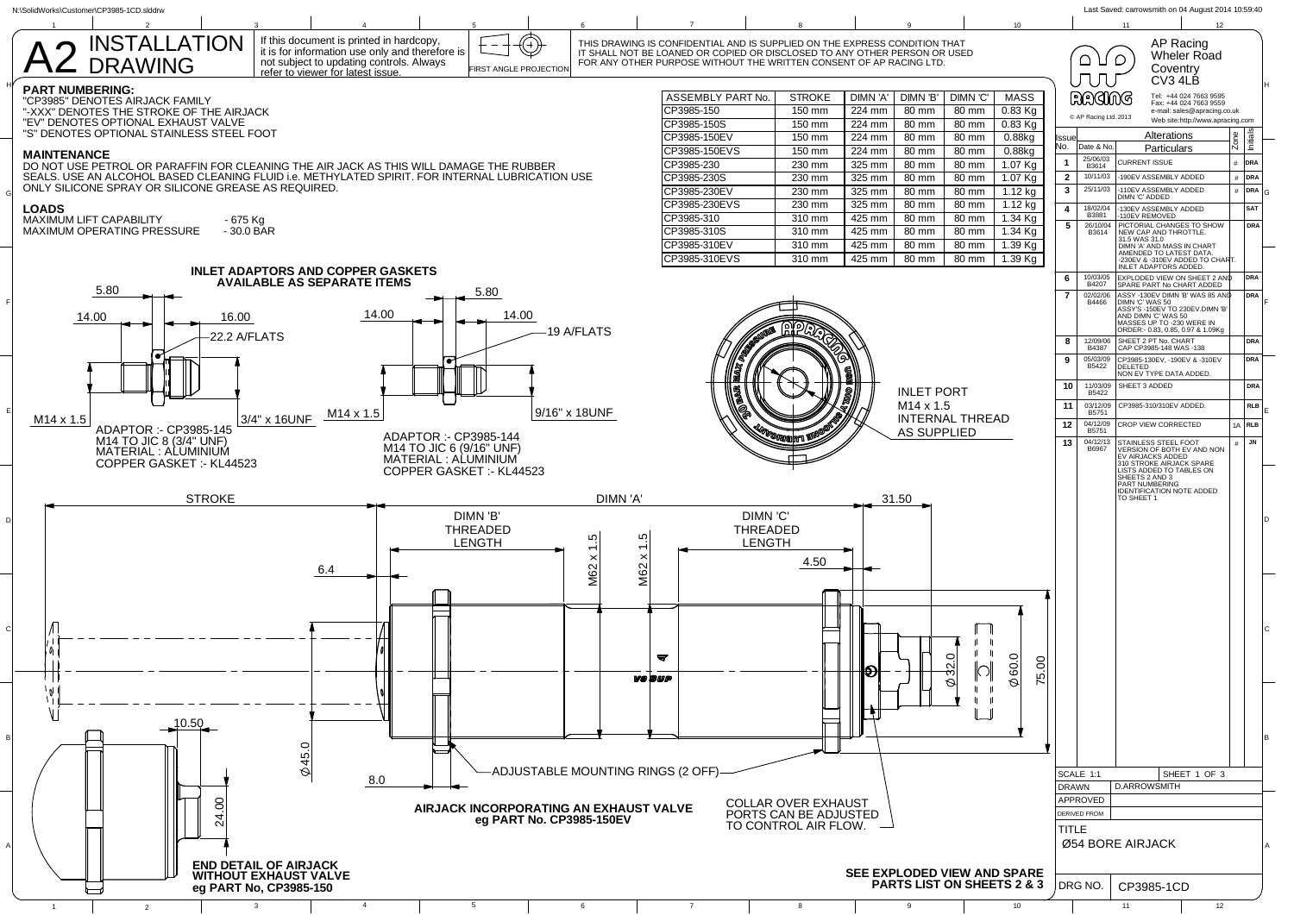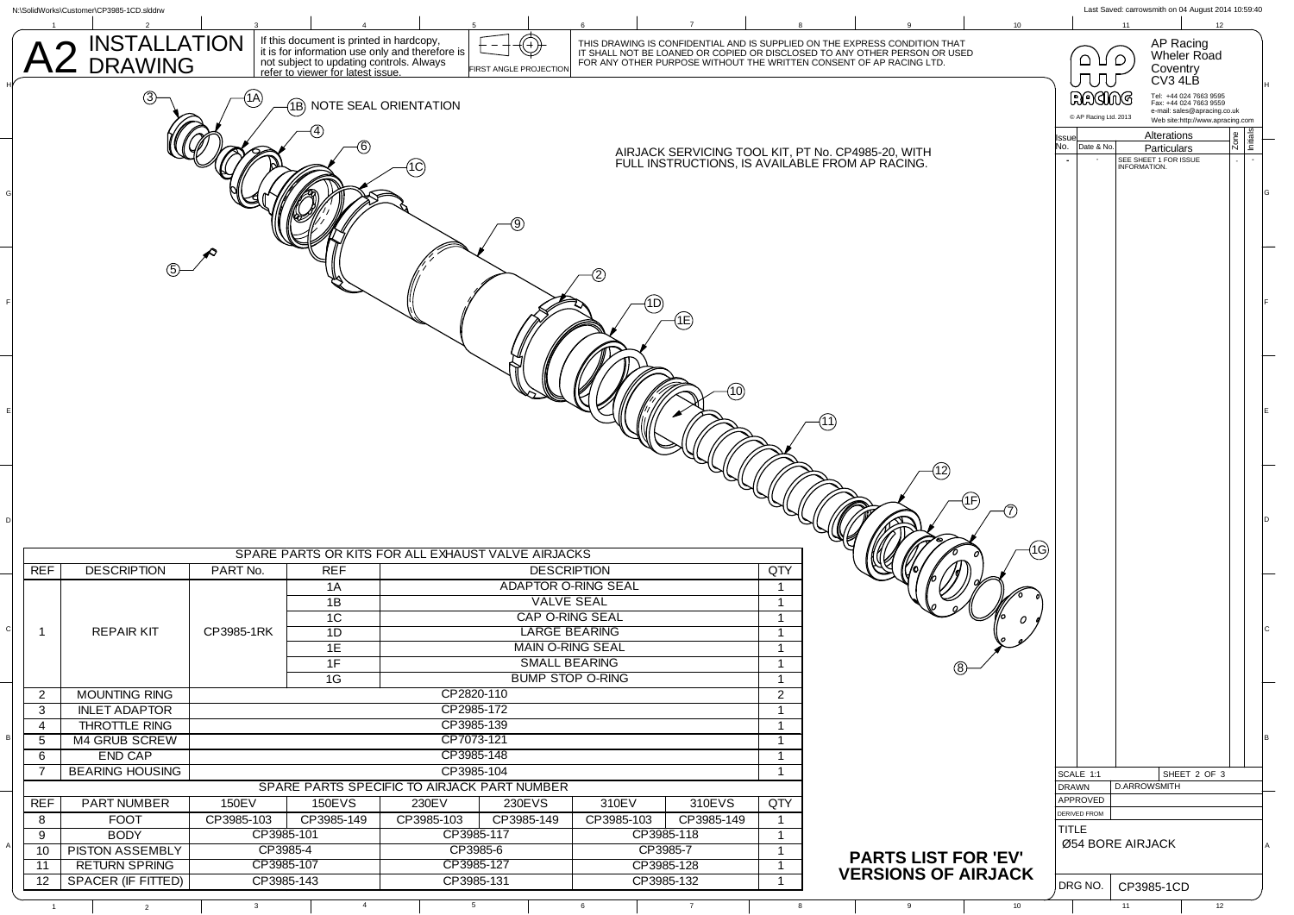|                                                                                                 | N:\SolidWorks\Customer\CP3985-1CD.slddrw                                                              |                                                                                                 |                                                                               |                              |                               |                        |                 |                              |                                                                                                                                                                                                                                |                                                  | Last Saved: carrowsmith on 04 August 2014 10:59:40               |  |
|-------------------------------------------------------------------------------------------------|-------------------------------------------------------------------------------------------------------|-------------------------------------------------------------------------------------------------|-------------------------------------------------------------------------------|------------------------------|-------------------------------|------------------------|-----------------|------------------------------|--------------------------------------------------------------------------------------------------------------------------------------------------------------------------------------------------------------------------------|--------------------------------------------------|------------------------------------------------------------------|--|
|                                                                                                 |                                                                                                       |                                                                                                 | If this document is printed in hardcopy,                                      |                              |                               |                        |                 |                              |                                                                                                                                                                                                                                | 11                                               |                                                                  |  |
|                                                                                                 | INSTALLATION<br>DRAWING                                                                               |                                                                                                 | it is for information use only and therefore is                               |                              |                               |                        |                 |                              | THIS DRAWING IS CONFIDENTIAL AND IS SUPPLIED ON THE EXPRESS CONDITION THAT<br>IT SHALL NOT BE LOANED OR COPIED OR DISCLOSED TO ANY OTHER PERSON OR USED<br>FOR ANY OTHER PURPOSE WITHOUT THE WRITTEN CONSENT OF AP RACING LTD. | $\bigcirc$ $\bigcirc$                            | AP Racing<br>Wheler Road                                         |  |
|                                                                                                 |                                                                                                       |                                                                                                 | not subject to updating controls. Always<br>refer to viewer for latest issue. |                              | <b>FIRST ANGLE PROJECTION</b> |                        |                 |                              |                                                                                                                                                                                                                                |                                                  | Coventry                                                         |  |
|                                                                                                 |                                                                                                       |                                                                                                 |                                                                               |                              |                               |                        |                 |                              |                                                                                                                                                                                                                                | <b>JUU</b>                                       | CV3 4LB                                                          |  |
|                                                                                                 | 1Α<br>(1B) NOTE SEAL ORIENTATION                                                                      |                                                                                                 |                                                                               |                              |                               |                        |                 |                              | RAGING                                                                                                                                                                                                                         | Tel: +44 024 7663 9595<br>Fax: +44 024 7663 9559 |                                                                  |  |
|                                                                                                 |                                                                                                       |                                                                                                 |                                                                               |                              |                               |                        |                 |                              |                                                                                                                                                                                                                                | C AP Racing Ltd. 2013                            | e-mail: sales@apracing.co.uk<br>Web site:http://www.apracing.com |  |
|                                                                                                 | AIRJACK SERVICING TOOL KIT, PT No. CP4985-20, WITH                                                    |                                                                                                 |                                                                               |                              |                               |                        |                 | lssue                        | Alterations                                                                                                                                                                                                                    |                                                  |                                                                  |  |
|                                                                                                 |                                                                                                       |                                                                                                 |                                                                               |                              |                               |                        |                 | Date & No.<br>No.            | Particulars                                                                                                                                                                                                                    |                                                  |                                                                  |  |
| SEE SHEET 1 FOR ISSUE<br>INFORMATION.<br>FULL INSTRUCTIONS, IS AVAILABLE FROM AP RACING.<br>1C) |                                                                                                       |                                                                                                 |                                                                               |                              |                               |                        |                 |                              |                                                                                                                                                                                                                                |                                                  |                                                                  |  |
|                                                                                                 |                                                                                                       |                                                                                                 |                                                                               |                              |                               |                        |                 |                              |                                                                                                                                                                                                                                |                                                  |                                                                  |  |
|                                                                                                 |                                                                                                       |                                                                                                 |                                                                               |                              |                               |                        |                 |                              |                                                                                                                                                                                                                                |                                                  |                                                                  |  |
|                                                                                                 |                                                                                                       |                                                                                                 |                                                                               |                              |                               |                        |                 |                              |                                                                                                                                                                                                                                |                                                  |                                                                  |  |
|                                                                                                 |                                                                                                       |                                                                                                 |                                                                               |                              |                               |                        |                 |                              |                                                                                                                                                                                                                                |                                                  |                                                                  |  |
|                                                                                                 |                                                                                                       |                                                                                                 |                                                                               |                              |                               |                        |                 |                              |                                                                                                                                                                                                                                |                                                  |                                                                  |  |
|                                                                                                 |                                                                                                       |                                                                                                 |                                                                               |                              |                               |                        |                 |                              |                                                                                                                                                                                                                                |                                                  |                                                                  |  |
|                                                                                                 |                                                                                                       |                                                                                                 |                                                                               |                              |                               |                        |                 |                              |                                                                                                                                                                                                                                |                                                  |                                                                  |  |
|                                                                                                 |                                                                                                       |                                                                                                 |                                                                               |                              |                               | (1D)                   |                 |                              |                                                                                                                                                                                                                                |                                                  |                                                                  |  |
|                                                                                                 |                                                                                                       |                                                                                                 |                                                                               |                              |                               |                        | (1È)            |                              |                                                                                                                                                                                                                                |                                                  |                                                                  |  |
|                                                                                                 |                                                                                                       |                                                                                                 |                                                                               |                              |                               |                        |                 |                              |                                                                                                                                                                                                                                |                                                  |                                                                  |  |
|                                                                                                 |                                                                                                       |                                                                                                 |                                                                               |                              |                               |                        |                 |                              |                                                                                                                                                                                                                                |                                                  |                                                                  |  |
|                                                                                                 |                                                                                                       |                                                                                                 |                                                                               |                              |                               |                        |                 |                              |                                                                                                                                                                                                                                |                                                  |                                                                  |  |
|                                                                                                 |                                                                                                       |                                                                                                 |                                                                               |                              |                               |                        |                 |                              |                                                                                                                                                                                                                                |                                                  |                                                                  |  |
|                                                                                                 |                                                                                                       |                                                                                                 |                                                                               |                              |                               |                        | (10)            |                              |                                                                                                                                                                                                                                |                                                  |                                                                  |  |
|                                                                                                 |                                                                                                       |                                                                                                 |                                                                               |                              |                               |                        |                 |                              |                                                                                                                                                                                                                                |                                                  |                                                                  |  |
|                                                                                                 |                                                                                                       |                                                                                                 |                                                                               |                              |                               |                        |                 |                              |                                                                                                                                                                                                                                |                                                  |                                                                  |  |
|                                                                                                 |                                                                                                       |                                                                                                 |                                                                               |                              |                               |                        |                 |                              |                                                                                                                                                                                                                                |                                                  |                                                                  |  |
|                                                                                                 |                                                                                                       |                                                                                                 |                                                                               |                              |                               |                        |                 |                              |                                                                                                                                                                                                                                |                                                  |                                                                  |  |
|                                                                                                 |                                                                                                       |                                                                                                 |                                                                               |                              |                               |                        |                 |                              |                                                                                                                                                                                                                                |                                                  |                                                                  |  |
|                                                                                                 |                                                                                                       |                                                                                                 |                                                                               |                              |                               |                        |                 |                              |                                                                                                                                                                                                                                |                                                  |                                                                  |  |
|                                                                                                 |                                                                                                       |                                                                                                 |                                                                               |                              |                               |                        |                 |                              |                                                                                                                                                                                                                                |                                                  |                                                                  |  |
|                                                                                                 |                                                                                                       |                                                                                                 |                                                                               |                              |                               |                        |                 |                              |                                                                                                                                                                                                                                |                                                  |                                                                  |  |
|                                                                                                 |                                                                                                       |                                                                                                 | (1G)<br>SPARE PARTS OR KITS FOR ALL EXHAUST VALVE AIRJACKS                    |                              |                               |                        |                 |                              |                                                                                                                                                                                                                                |                                                  |                                                                  |  |
| REF                                                                                             | <b>DESCRIPTION</b>                                                                                    | PART No.                                                                                        | <b>REF</b>                                                                    |                              |                               | <b>DESCRIPTION</b>     |                 | QTY                          |                                                                                                                                                                                                                                |                                                  |                                                                  |  |
|                                                                                                 |                                                                                                       |                                                                                                 | 1A                                                                            |                              | <b>ADAPTOR O-RING SEAL</b>    |                        |                 | $\overline{1}$               |                                                                                                                                                                                                                                |                                                  |                                                                  |  |
|                                                                                                 |                                                                                                       |                                                                                                 | 1B                                                                            |                              | <b>VALVE SEAL</b>             |                        |                 | $\overline{1}$               |                                                                                                                                                                                                                                |                                                  |                                                                  |  |
|                                                                                                 |                                                                                                       |                                                                                                 | 1C                                                                            |                              | CAP O-RING SEAL               |                        |                 | $\overline{1}$               |                                                                                                                                                                                                                                |                                                  |                                                                  |  |
| -1                                                                                              | <b>REPAIR KIT</b>                                                                                     | CP3985-1RK                                                                                      | 1D                                                                            |                              | <b>LARGE BEARING</b>          |                        |                 | $\mathbf{1}$                 |                                                                                                                                                                                                                                |                                                  |                                                                  |  |
|                                                                                                 |                                                                                                       |                                                                                                 | 1E                                                                            |                              | <b>MAIN O-RING SEAL</b>       |                        |                 | $\overline{\mathbf{1}}$      |                                                                                                                                                                                                                                |                                                  |                                                                  |  |
|                                                                                                 |                                                                                                       |                                                                                                 | 1F                                                                            |                              | <b>SMALL BEARING</b>          |                        |                 | $\overline{1}$               |                                                                                                                                                                                                                                |                                                  |                                                                  |  |
|                                                                                                 |                                                                                                       |                                                                                                 | $\overline{1G}$                                                               | <b>BUMP STOP O-RING</b>      |                               |                        |                 | $\mathbf{1}$                 |                                                                                                                                                                                                                                |                                                  |                                                                  |  |
|                                                                                                 | 2 MOUNTING RING                                                                                       | CP2820-110                                                                                      |                                                                               |                              |                               |                        |                 | $\overline{a}$               |                                                                                                                                                                                                                                |                                                  |                                                                  |  |
| 3                                                                                               | <b>INLET ADAPTOR</b>                                                                                  |                                                                                                 |                                                                               | CP2985-172                   |                               |                        |                 | $\overline{1}$               |                                                                                                                                                                                                                                |                                                  |                                                                  |  |
| 4                                                                                               | THROTTLE RING                                                                                         |                                                                                                 |                                                                               | CP3985-139<br>$\overline{1}$ |                               |                        |                 |                              |                                                                                                                                                                                                                                |                                                  |                                                                  |  |
| 5                                                                                               | M4 GRUB SCREW                                                                                         | CP7073-121                                                                                      |                                                                               |                              |                               |                        |                 | $\overline{1}$               |                                                                                                                                                                                                                                |                                                  |                                                                  |  |
| 6                                                                                               |                                                                                                       | CP3985-148<br>END CAP                                                                           |                                                                               |                              |                               |                        | $\overline{1}$  |                              |                                                                                                                                                                                                                                |                                                  |                                                                  |  |
| 7                                                                                               | <b>BEARING HOUSING</b><br>CP3985-104<br>$\overline{1}$<br>SPARE PARTS SPECIFIC TO AIRJACK PART NUMBER |                                                                                                 |                                                                               |                              |                               |                        |                 |                              | SCALE 1:1                                                                                                                                                                                                                      | SHEET 2 OF 3                                     |                                                                  |  |
|                                                                                                 |                                                                                                       |                                                                                                 |                                                                               |                              |                               |                        |                 |                              |                                                                                                                                                                                                                                | <b>DRAWN</b><br>APPROVED                         | <b>D.ARROWSMITH</b>                                              |  |
| REF                                                                                             | <b>PART NUMBER</b>                                                                                    | 150EV                                                                                           | 150EVS                                                                        | 230EV                        | 230EVS                        | 310EV                  | 310EVS          | QTY                          |                                                                                                                                                                                                                                | <b>DERIVED FROM</b>                              |                                                                  |  |
| 8                                                                                               | <b>FOOT</b>                                                                                           | CP3985-103                                                                                      | CP3985-149                                                                    | CP3985-103                   | CP3985-149                    | CP3985-103             | CP3985-149      | $\overline{1}$               |                                                                                                                                                                                                                                | <b>TITLE</b>                                     |                                                                  |  |
| 9                                                                                               | <b>PISTON ASSEMBLY</b>                                                                                | CP3985-118<br><b>BODY</b><br>CP3985-101<br>CP3985-117<br>$\overline{1}$<br>CP3985-4<br>CP3985-6 |                                                                               |                              |                               |                        |                 | Ø54 BORE AIRJACK             |                                                                                                                                                                                                                                |                                                  |                                                                  |  |
| 11                                                                                              | 10<br><b>RETURN SPRING</b>                                                                            |                                                                                                 | CP3985-107                                                                    | CP3985-127                   |                               | CP3985-7<br>CP3985-128 |                 | $\mathbf{1}$<br>$\mathbf{1}$ | <b>PARTS LIST FOR 'EV'</b>                                                                                                                                                                                                     |                                                  |                                                                  |  |
| 12                                                                                              | SPACER (IF FITTED)                                                                                    |                                                                                                 | CP3985-143                                                                    | CP3985-131                   |                               | CP3985-132             |                 | $\overline{1}$               | <b>VERSIONS OF AIRJACK</b>                                                                                                                                                                                                     |                                                  |                                                                  |  |
|                                                                                                 |                                                                                                       |                                                                                                 |                                                                               |                              |                               |                        |                 |                              |                                                                                                                                                                                                                                | DRG NO.                                          | CP3985-1CD                                                       |  |
| $\overline{1}$                                                                                  | $\overline{2}$                                                                                        | $\overline{\mathbf{3}}$                                                                         | $\overline{4}$                                                                | $5\overline{5}$              |                               | 6                      | $7\overline{ }$ | 8                            | 9<br>10                                                                                                                                                                                                                        | 11                                               | 12                                                               |  |